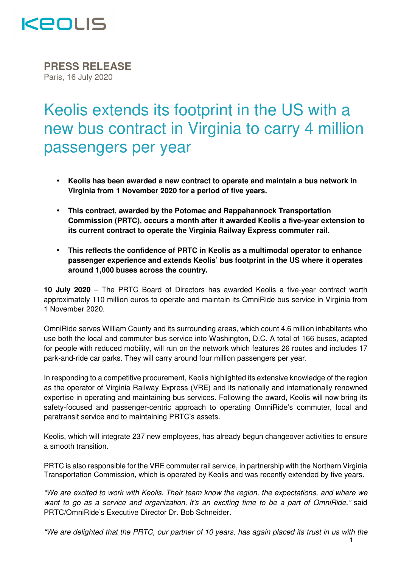

**PRESS RELEASE** Paris, 16 July 2020

## Keolis extends its footprint in the US with a new bus contract in Virginia to carry 4 million passengers per year

- **Keolis has been awarded a new contract to operate and maintain a bus network in Virginia from 1 November 2020 for a period of five years.**
- **This contract, awarded by the Potomac and Rappahannock Transportation Commission (PRTC), occurs a month after it awarded Keolis a five-year extension to its current contract to operate the Virginia Railway Express commuter rail.**
- **This reflects the confidence of PRTC in Keolis as a multimodal operator to enhance passenger experience and extends Keolis' bus footprint in the US where it operates around 1,000 buses across the country.**

**10 July 2020** – The PRTC Board of Directors has awarded Keolis a five-year contract worth approximately 110 million euros to operate and maintain its OmniRide bus service in Virginia from 1 November 2020.

OmniRide serves William County and its surrounding areas, which count 4.6 million inhabitants who use both the local and commuter bus service into Washington, D.C. A total of 166 buses, adapted for people with reduced mobility, will run on the network which features 26 routes and includes 17 park-and-ride car parks. They will carry around four million passengers per year.

In responding to a competitive procurement, Keolis highlighted its extensive knowledge of the region as the operator of Virginia Railway Express (VRE) and its nationally and internationally renowned expertise in operating and maintaining bus services. Following the award, Keolis will now bring its safety-focused and passenger-centric approach to operating OmniRide's commuter, local and paratransit service and to maintaining PRTC's assets.

Keolis, which will integrate 237 new employees, has already begun changeover activities to ensure a smooth transition.

PRTC is also responsible for the VRE commuter rail service, in partnership with the Northern Virginia Transportation Commission, which is operated by Keolis and was recently extended by five years.

"We are excited to work with Keolis. Their team know the region, the expectations, and where we want to go as a service and organization. It's an exciting time to be a part of OmniRide," said PRTC/OmniRide's Executive Director Dr. Bob Schneider.

1 "We are delighted that the PRTC, our partner of 10 years, has again placed its trust in us with the